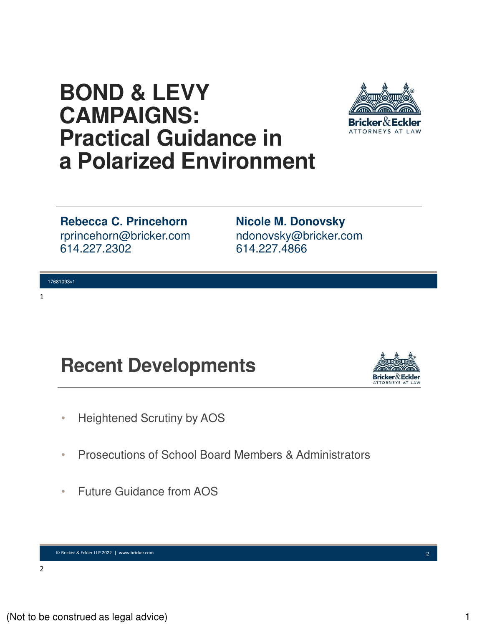## **BOND & LEVY CAMPAIGNS: Practical Guidance in a Polarized Environment**



rprincehorn@bricker.com 614.227.2302 **Rebecca C. Princehorn**

17681093v1

1

ndonovsky@bricker.com 614.227.4866 **Nicole M. Donovsky**

# **Recent Developments**



- Heightened Scrutiny by AOS
- Prosecutions of School Board Members & Administrators
- Future Guidance from AOS

© Bricker & Eckler LLP 2022 | www.bricker.com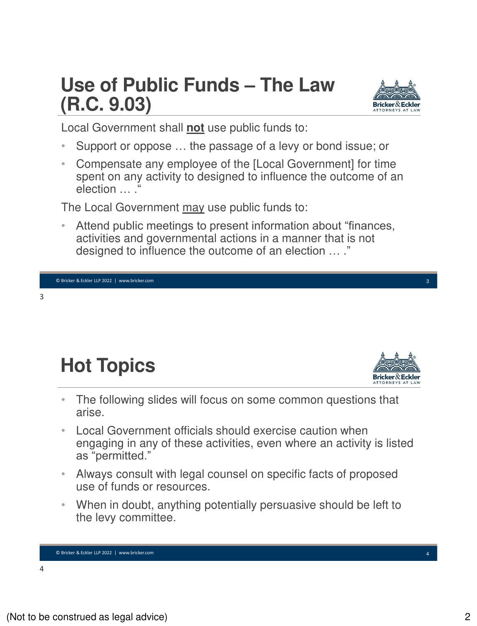## **Use of Public Funds – The Law (R.C. 9.03)**



Local Government shall **not** use public funds to:

- Support or oppose … the passage of a levy or bond issue; or
- Compensate any employee of the [Local Government] for time spent on any activity to designed to influence the outcome of an election … . "

The Local Government may use public funds to:

• Attend public meetings to present information about "finances, activities and governmental actions in a manner that is not designed to influence the outcome of an election … ."

3

# **Hot Topics**



3

- The following slides will focus on some common questions that arise.
- Local Government officials should exercise caution when engaging in any of these activities, even where an activity is listed as "permitted."
- Always consult with legal counsel on specific facts of proposed use of funds or resources.
- When in doubt, anything potentially persuasive should be left to the levy committee.

© Bricker & Eckler LLP 2022 | www.bricker.com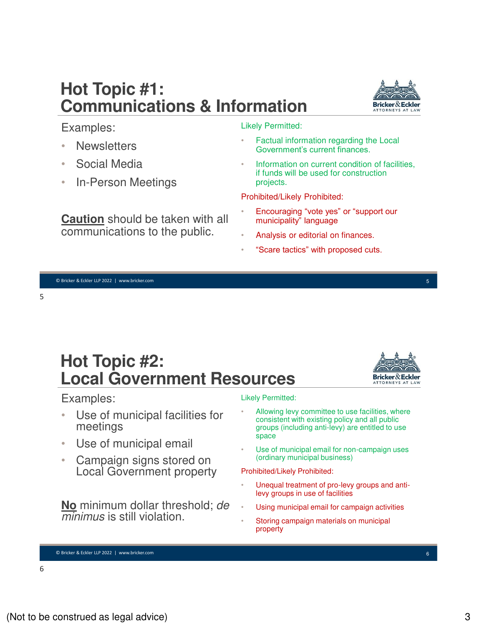6

© Bricker & Eckler LLP 2022 | www.bricker.com

## **Hot Topic #1: Communications & Information**

#### Likely Permitted:

- Factual information regarding the Local Government's current finances.
- Information on current condition of facilities. if funds will be used for construction projects.

Prohibited/Likely Prohibited:

- Encouraging "vote yes" or "support our municipality" language
- Analysis or editorial on finances.
- "Scare tactics" with proposed cuts.

© Bricker & Eckler LLP 2022 | www.bricker.com

5

Examples:

**Newsletters** 

• Social Media

• In-Person Meetings

**Caution** should be taken with all communications to the public.

**Hot Topic #2: Local Government Resources**

## Examples:

- Use of municipal facilities for meetings
- Use of municipal email
- Campaign signs stored on Local Government property

**No** minimum dollar threshold; de minimus is still violation.

#### Likely Permitted:

- Allowing levy committee to use facilities, where consistent with existing policy and all public groups (including anti-levy) are entitled to use space
- Use of municipal email for non-campaign uses (ordinary municipal business)

Prohibited/Likely Prohibited:

- Unequal treatment of pro-levy groups and antilevy groups in use of facilities
- Using municipal email for campaign activities
- Storing campaign materials on municipal property



5



 $\mathbf{r}$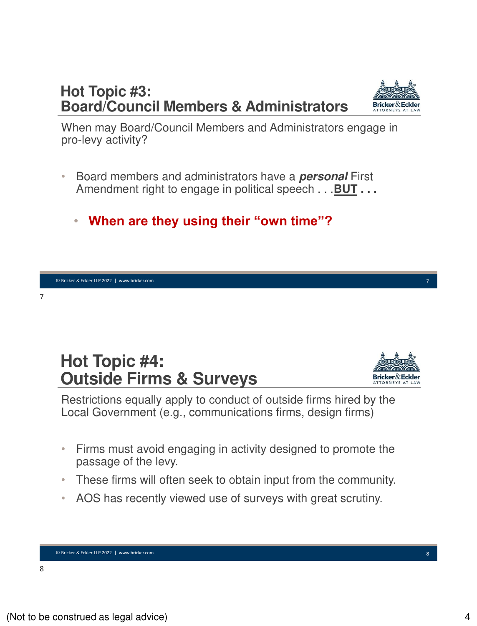## **Hot Topic #3: Board/Council Members & Administrators**

When may Board/Council Members and Administrators engage in pro-levy activity?

- Board members and administrators have a **personal** First Amendment right to engage in political speech . . .**BUT . . .**
	- **When are they using their "own time"?**

## **Hot Topic #4: Outside Firms & Surveys**

Restrictions equally apply to conduct of outside firms hired by the Local Government (e.g., communications firms, design firms)

- Firms must avoid engaging in activity designed to promote the passage of the levy.
- These firms will often seek to obtain input from the community.
- AOS has recently viewed use of surveys with great scrutiny.

© Bricker & Eckler LLP 2022 | www.bricker.com

7



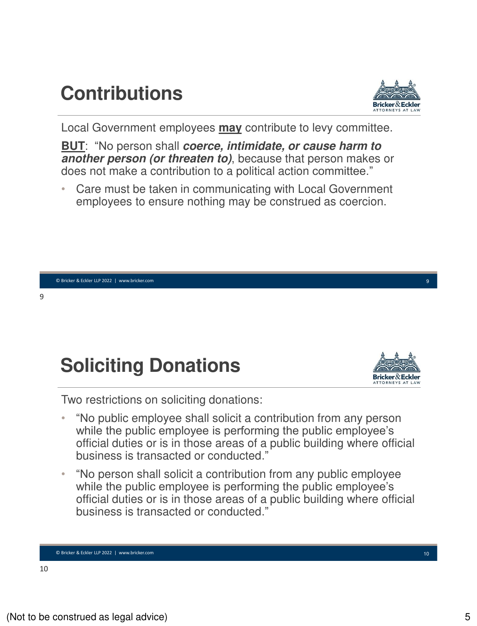# **Contributions**



Local Government employees **may** contribute to levy committee.

**BUT**: "No person shall **coerce, intimidate, or cause harm to another person (or threaten to)**, because that person makes or does not make a contribution to a political action committee."

• Care must be taken in communicating with Local Government employees to ensure nothing may be construed as coercion.

9

# **Soliciting Donations**



9

Two restrictions on soliciting donations:

- "No public employee shall solicit a contribution from any person while the public employee is performing the public employee's official duties or is in those areas of a public building where official business is transacted or conducted."
- "No person shall solicit a contribution from any public employee while the public employee is performing the public employee's official duties or is in those areas of a public building where official business is transacted or conducted."